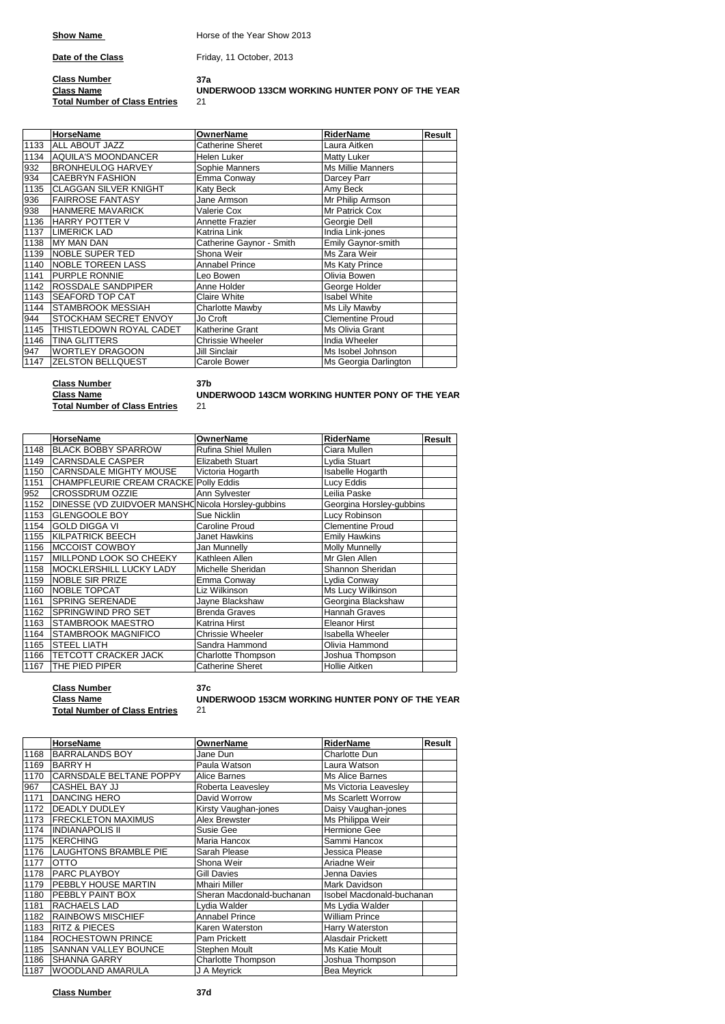**Show Name Horse of the Year Show 2013** 

**Date of the Class** Friday, 11 October, 2013

### **Class Number 37a Class Name Total Number of Class Entries**

## **UNDERWOOD 133CM WORKING HUNTER PONY OF THE YEAR**

|      | <b>HorseName</b>             | <b>OwnerName</b>         | RiderName                | Result |
|------|------------------------------|--------------------------|--------------------------|--------|
| 1133 | <b>ALL ABOUT JAZZ</b>        | <b>Catherine Sheret</b>  | Laura Aitken             |        |
| 1134 | <b>AQUILA'S MOONDANCER</b>   | Helen Luker              | Matty Luker              |        |
| 932  | <b>BRONHEULOG HARVEY</b>     | Sophie Manners           | <b>Ms Millie Manners</b> |        |
| 934  | <b>CAEBRYN FASHION</b>       | Emma Conway              | Darcey Parr              |        |
| 1135 | <b>CLAGGAN SILVER KNIGHT</b> | Katy Beck                | Amy Beck                 |        |
| 936  | <b>FAIRROSE FANTASY</b>      | Jane Armson              | Mr Philip Armson         |        |
| 938  | <b>HANMERE MAVARICK</b>      | Valerie Cox              | Mr Patrick Cox           |        |
| 1136 | <b>HARRY POTTER V</b>        | Annette Frazier          | Georgie Dell             |        |
| 1137 | <b>LIMERICK LAD</b>          | Katrina Link             | India Link-jones         |        |
| 1138 | <b>MY MAN DAN</b>            | Catherine Gaynor - Smith | Emily Gaynor-smith       |        |
| 1139 | NOBLE SUPER TED              | Shona Weir               | Ms Zara Weir             |        |
| 1140 | <b>NOBLE TOREEN LASS</b>     | <b>Annabel Prince</b>    | Ms Katy Prince           |        |
| 1141 | <b>PURPLE RONNIE</b>         | Leo Bowen                | Olivia Bowen             |        |
| 1142 | ROSSDALE SANDPIPER           | Anne Holder              | George Holder            |        |
| 1143 | <b>SEAFORD TOP CAT</b>       | Claire White             | <b>Isabel White</b>      |        |
| 1144 | <b>STAMBROOK MESSIAH</b>     | <b>Charlotte Mawby</b>   | Ms Lily Mawby            |        |
| 944  | STOCKHAM SECRET ENVOY        | Jo Croft                 | <b>Clementine Proud</b>  |        |
| 1145 | THISTLEDOWN ROYAL CADET      | Katherine Grant          | Ms Olivia Grant          |        |
| 1146 | TINA GLITTERS                | Chrissie Wheeler         | India Wheeler            |        |
| 947  | <b>WORTLEY DRAGOON</b>       | <b>Jill Sinclair</b>     | Ms Isobel Johnson        |        |
| 1147 | <b>ZELSTON BELLQUEST</b>     | Carole Bower             | Ms Georgia Darlington    |        |

**Class Number 37b Class Name Total Number of Class Entries**

**UNDERWOOD 143CM WORKING HUNTER PONY OF THE YEAR** 

|      | <b>HorseName</b>                                   | <b>OwnerName</b>        | <b>RiderName</b>         | Result |
|------|----------------------------------------------------|-------------------------|--------------------------|--------|
| 1148 | <b>BLACK BOBBY SPARROW</b>                         | Rufina Shiel Mullen     | Ciara Mullen             |        |
| 1149 | <b>CARNSDALE CASPER</b>                            | <b>Elizabeth Stuart</b> | Lydia Stuart             |        |
| 1150 | <b>CARNSDALE MIGHTY MOUSE</b>                      | Victoria Hogarth        | Isabelle Hogarth         |        |
| 1151 | CHAMPFLEURIE CREAM CRACKE Polly Eddis              |                         | Lucy Eddis               |        |
| 952  | <b>CROSSDRUM OZZIE</b>                             | Ann Sylvester           | Leilia Paske             |        |
| 1152 | DINESSE (VD ZUIDVOER MANSHO Nicola Horsley-qubbins |                         | Georgina Horsley-gubbins |        |
| 1153 | <b>GLENGOOLE BOY</b>                               | Sue Nicklin             | Lucy Robinson            |        |
| 1154 | <b>GOLD DIGGA VI</b>                               | Caroline Proud          | <b>Clementine Proud</b>  |        |
| 1155 | <b>KILPATRICK BEECH</b>                            | Janet Hawkins           | <b>Emily Hawkins</b>     |        |
| 1156 | <b>MCCOIST COWBOY</b>                              | Jan Munnelly            | <b>Molly Munnelly</b>    |        |
| 1157 | MILLPOND LOOK SO CHEEKY                            | Kathleen Allen          | Mr Glen Allen            |        |
| 1158 | MOCKLERSHILL LUCKY LADY                            | Michelle Sheridan       | Shannon Sheridan         |        |
| 1159 | <b>NOBLE SIR PRIZE</b>                             | Emma Conway             | Lydia Conway             |        |
| 1160 | <b>NOBLE TOPCAT</b>                                | Liz Wilkinson           | Ms Lucy Wilkinson        |        |
| 1161 | <b>SPRING SERENADE</b>                             | Jayne Blackshaw         | Georgina Blackshaw       |        |
| 1162 | SPRINGWIND PRO SET                                 | <b>Brenda Graves</b>    | Hannah Graves            |        |
| 1163 | <b>STAMBROOK MAESTRO</b>                           | Katrina Hirst           | <b>Eleanor Hirst</b>     |        |
| 1164 | STAMBROOK MAGNIFICO                                | Chrissie Wheeler        | <b>Isabella Wheeler</b>  |        |
| 1165 | <b>STEEL LIATH</b>                                 | Sandra Hammond          | Olivia Hammond           |        |
| 1166 | <b>TETCOTT CRACKER JACK</b>                        | Charlotte Thompson      | Joshua Thompson          |        |
| 1167 | THE PIED PIPER                                     | <b>Catherine Sheret</b> | <b>Hollie Aitken</b>     |        |

**Class Number 37c UNDERWOOD 153CM WORKING HUNTER PONY OF THE YEAR**

|      | <b>HorseName</b>             | <b>OwnerName</b>          | <b>RiderName</b>          | Result |
|------|------------------------------|---------------------------|---------------------------|--------|
| 1168 | <b>BARRALANDS BOY</b>        | Jane Dun                  | Charlotte Dun             |        |
| 1169 | <b>BARRY H</b>               | Paula Watson              | Laura Watson              |        |
| 1170 | CARNSDALE BELTANE POPPY      | Alice Barnes              | Ms Alice Barnes           |        |
| 967  | CASHEL BAY JJ                | Roberta Leavesley         | Ms Victoria Leavesley     |        |
| 1171 | <b>DANCING HERO</b>          | David Worrow              | <b>Ms Scarlett Worrow</b> |        |
| 1172 | <b>DEADLY DUDLEY</b>         | Kirsty Vaughan-jones      | Daisy Vaughan-jones       |        |
| 1173 | <b>FRECKLETON MAXIMUS</b>    | Alex Brewster             | Ms Philippa Weir          |        |
| 1174 | <b>INDIANAPOLIS II</b>       | Susie Gee                 | Hermione Gee              |        |
| 1175 | KERCHING                     | Maria Hancox              | Sammi Hancox              |        |
| 1176 | <b>LAUGHTONS BRAMBLE PIE</b> | Sarah Please              | Jessica Please            |        |
| 1177 | <b>OTTO</b>                  | Shona Weir                | Ariadne Weir              |        |
| 1178 | <b>PARC PLAYBOY</b>          | <b>Gill Davies</b>        | Jenna Davies              |        |
| 1179 | PEBBLY HOUSE MARTIN          | <b>Mhairi Miller</b>      | Mark Davidson             |        |
| 1180 | PEBBLY PAINT BOX             | Sheran Macdonald-buchanan | Isobel Macdonald-buchanan |        |
| 1181 | RACHAELS LAD                 | Lydia Walder              | Ms Lydia Walder           |        |
| 1182 | <b>RAINBOWS MISCHIEF</b>     | <b>Annabel Prince</b>     | <b>William Prince</b>     |        |
| 1183 | <b>RITZ &amp; PIECES</b>     | Karen Waterston           | Harry Waterston           |        |
| 1184 | ROCHESTOWN PRINCE            | Pam Prickett              | Alasdair Prickett         |        |
| 1185 | SANNAN VALLEY BOUNCE         | Stephen Moult             | Ms Katie Moult            |        |
| 1186 | <b>SHANNA GARRY</b>          | Charlotte Thompson        | Joshua Thompson           |        |
| 1187 | <b>WOODLAND AMARULA</b>      | J A Meyrick               | <b>Bea Meyrick</b>        |        |

**Class Name**

**Total Number of Class Entries**